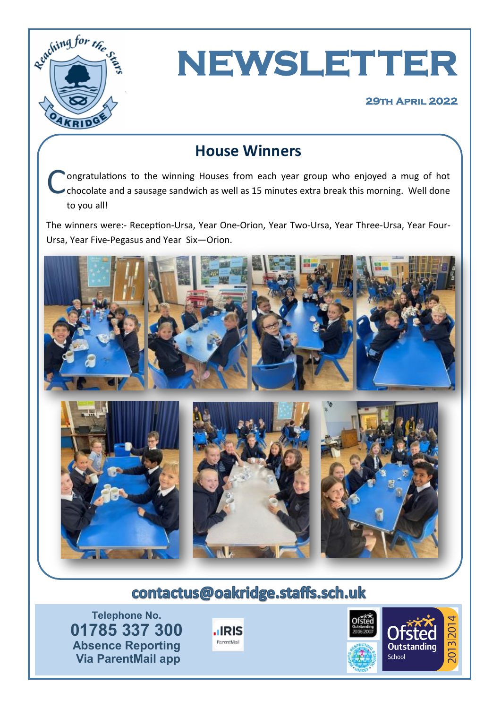



### **House Winners**

C ongratulations to the winning Houses from each year group who enjoyed a mug of hot chocolate and a sausage sandwich as well as 15 minutes extra break this morning. Well done to you all!

The winners were:- Reception-Ursa, Year One-Orion, Year Two-Ursa, Year Three-Ursa, Year Four-Ursa, Year Five-Pegasus and Year Six—Orion.



## contactus@oakridge.staffs.sch.uk

**Telephone No. 01785 337 300 Absence Reporting Via ParentMail app**



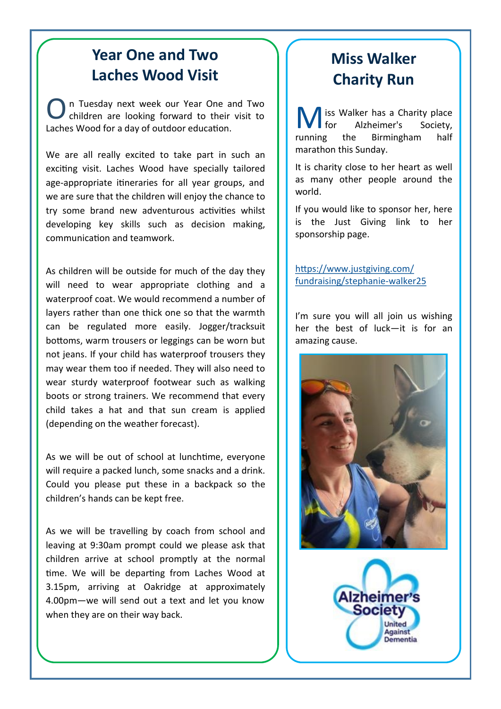### **Year One and Two Laches Wood Visit**

O n Tuesday next week our Year One and Two children are looking forward to their visit to Laches Wood for a day of outdoor education.

We are all really excited to take part in such an exciting visit. Laches Wood have specially tailored age-appropriate itineraries for all year groups, and we are sure that the children will enjoy the chance to try some brand new adventurous activities whilst developing key skills such as decision making, communication and teamwork.

As children will be outside for much of the day they will need to wear appropriate clothing and a waterproof coat. We would recommend a number of layers rather than one thick one so that the warmth can be regulated more easily. Jogger/tracksuit bottoms, warm trousers or leggings can be worn but not jeans. If your child has waterproof trousers they may wear them too if needed. They will also need to wear sturdy waterproof footwear such as walking boots or strong trainers. We recommend that every child takes a hat and that sun cream is applied (depending on the weather forecast).

As we will be out of school at lunchtime, everyone will require a packed lunch, some snacks and a drink. Could you please put these in a backpack so the children's hands can be kept free.

As we will be travelling by coach from school and leaving at 9:30am prompt could we please ask that children arrive at school promptly at the normal time. We will be departing from Laches Wood at 3.15pm, arriving at Oakridge at approximately 4.00pm—we will send out a text and let you know when they are on their way back.

## **Miss Walker Charity Run**

**M** iss Walker has a Charity place<br>for Alzheimer's Society,<br>running the Birmingham half Alzheimer's **Birmingham** marathon this Sunday.

It is charity close to her heart as well as many other people around the world.

If you would like to sponsor her, here is the Just Giving link to her sponsorship page.

[https://www.justgiving.com/](https://www.justgiving.com/fundraising/stephanie-walker25) [fundraising/stephanie](https://www.justgiving.com/fundraising/stephanie-walker25)-walker25

I'm sure you will all join us wishing her the best of luck—it is for an amazing cause.



**Izheime Society** 

> United Against Dementia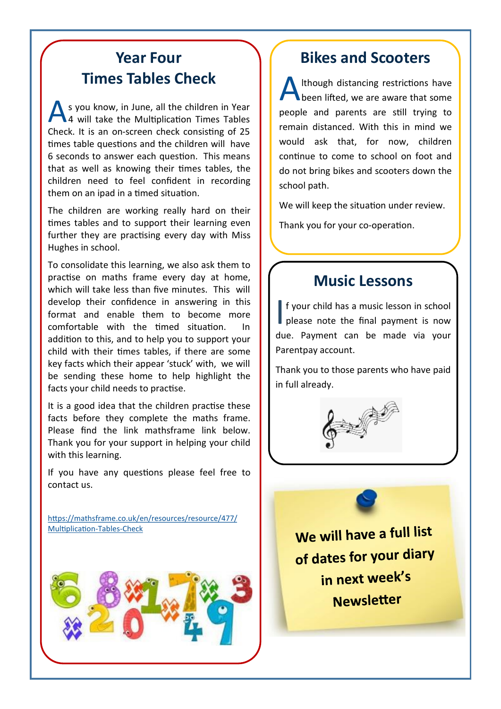### **Year Four Times Tables Check**

A s you know, in June, all the children in Year<br>4 will take the Multiplication Times Tables 4 will take the Multiplication Times Tables Check. It is an on-screen check consisting of 25 times table questions and the children will have 6 seconds to answer each question. This means that as well as knowing their times tables, the children need to feel confident in recording them on an ipad in a timed situation.

The children are working really hard on their times tables and to support their learning even further they are practising every day with Miss Hughes in school.

To consolidate this learning, we also ask them to practise on maths frame every day at home, which will take less than five minutes. This will develop their confidence in answering in this format and enable them to become more comfortable with the timed situation. In addition to this, and to help you to support your child with their times tables, if there are some key facts which their appear 'stuck' with, we will be sending these home to help highlight the facts your child needs to practise.

It is a good idea that the children practise these facts before they complete the maths frame. Please find the link mathsframe link below. Thank you for your support in helping your child with this learning.

If you have any questions please feel free to contact us.

[https://mathsframe.co.uk/en/resources/resource/477/](https://mathsframe.co.uk/en/resources/resource/477/Multiplication-Tables-Check) [Multiplication](https://mathsframe.co.uk/en/resources/resource/477/Multiplication-Tables-Check)-Tables-Check



#### **Bikes and Scooters**

A lthough distancing restrictions have **N** been lifted, we are aware that some people and parents are still trying to remain distanced. With this in mind we would ask that, for now, children continue to come to school on foot and do not bring bikes and scooters down the school path.

We will keep the situation under review.

Thank you for your co-operation.

#### **Music Lessons**

If your child has a music lesson in school<br>please note the final payment is now please note the final payment is now due. Payment can be made via your Parentpay account.

Thank you to those parents who have paid in full already.



We will have a full list of dates for your diary in next week's **Newsletter**